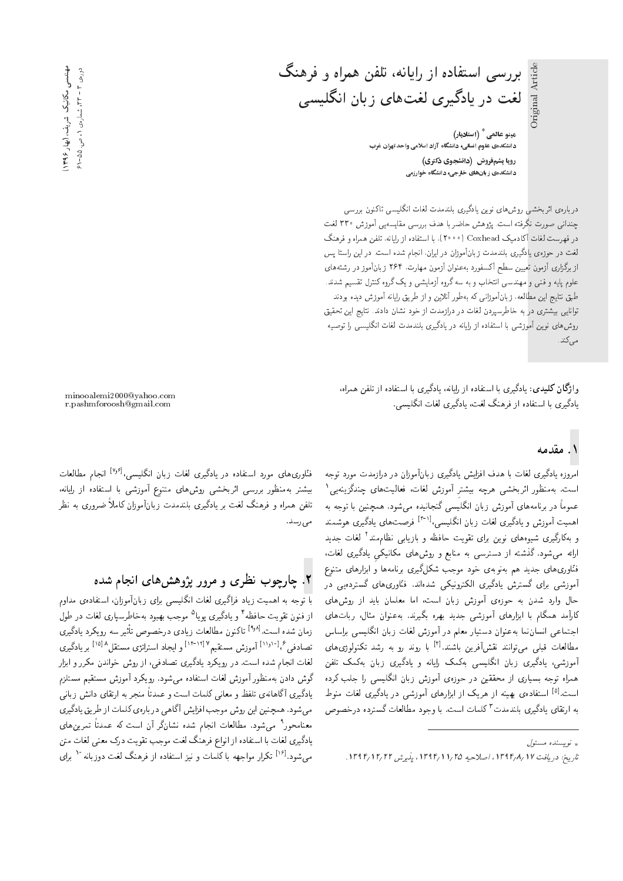هيٺو عالھی <sup>\*</sup> (استاديار) .<br>دانشکدهی علوم انسانی، دانشگاه آزاد اسلامی واحد تهران غرب رویا پشم فروش (دانشجوی دکتری) دانشکدهی زبانهای خارجی، دانشگاه خوارزمی

بررسی استفاده از رایانه، تلفن همراه و فرهنگ

لغت در یادگیری لغتهای زبان انگلیسی

دربارهی اثربخشی روش،ای نوین یادگیری بلندمدت لغات انگلیسی تاکنون بررسی<br>چندانی صورت نگرفته است. یژوهش حاضر با هدف بررسی مقایسهیی آموزش °۳۳ لغت Cer 330 VRwt; |}xU}=kt |UQQ@ hOy =@ Q[=L VywSB "CU= xDiQov CQwY |v=OvJ در فهرست لغات اکادمیک Coxhead (° ° ° ۲)، با استفاده از رایانه، تلفن همراه و فرهنگ<br>.. لغت در حوزهى يادگيرى بلندمدت زبانآموزان در ايران، انجام شده است. در اين راستا پس از برگزاری آزمون تعیین سطح آکسفورد بهعنوان آزمون مهارت. ۲۶۴ زبانآموز در رشتههای علموم يايه و فنبي و مهندسبي انتخاب و به سه گروه أزمايشي و يک گروه کنترل تقسيم شدند. طبق نتايج اين مطالعه، زبانآموزاني كه بهطور آنلاين و از طريق رايانه آموزش ديده بودند توانایبی بیشتری در به خاطرسپردن لغات در درازمدت از خود نشان دادند. نتایج این تحقیق روشهای نوین آموزشی با استفاده از رایانه در یادگیری بلندمدت لغات انگلیسی را توصیه مے ,کند.

وا**ژگان کلیدی**: یادگیری با استفاده از رایانه، یادگیری با استفاده از تلفن همراه، يادگيرى با استفاده از فرهنگ لغت، يادگيرى لغات انگليسى.

## ۱. مقدمه

امروزه یادگیری لغات با هدف افزایش یادگیری زبانآموزان در درازمدت مورد توجه است. بەمنظور اثربخشى هرچە بيشتر أموزش لغات، فعاليتهاى چندگزينەي<sub>ى</sub>' عموماً در برنامههای أموزش زبان انگلیسی گنجانیده میشود. همچنین با توجه به اهمیت آموزش و یادگیری لغات زبان انگلیسی،<sup>[۳۰۱]</sup> فرصتهای یادگیری هوشمند<br>کاگ و بەكاركىرى شيوەھاى نوين براى تقويت حافظە و بازيابى نظام.ند' لغات جديد<br>المسلمات مىسكەنمىيە الىتىسى ارائه میشود. گذشته از دسترسی به منابع و روشهای مکانیکی یادگیری لغات، .<br>فنّاوری&ای جدید هم بهنوبهی خود موجب شکلگیری برنامهها و ابزارهای متنوع آموزشی برای گسترش یادگیری الکترونیکی شدهاند. فنّاوری،های گستردهیی در حال وارد شدن به حوزهی آموزش زبان است، اما معلمان باید از روشهای<br>کارآمد همگام با ابزارهای آموزشی حدید بهره بگیرند. بهعنوان مثال، ریاتهای |جتماعی انسان نما به عنوان دستیار معلم در آموزش لغات زبان انگلیسی براساس اجتماعی انسان بنا به عنوان دستیار معلم در امورس نعاب زبان اندلیسی براساس<br>مطالعات قبلہ ِ مہ توانند نقش آفرین باشند.<sup>[۶]</sup> یا روند رو به رشد تکنولوژی های مطالعات فبلی می واسد نفس افرین باسند. `` با روند رو به رسد ندنولوژی های<br>آ همراه توجه بسیاری از محققین در حوزهی آموزش زبان انگلیسی را جلب کرده همراه نوجه بسیاری از محققین در حوزهی آموزس زبان آنگلیسی را جنب درده<br>استراهای بنا است.<sup>[۵]</sup> استفادهی بهینه از هریک از ابزارهای آموزشی در یادگیری لغات منوط<br>ساحتای اگر میباید و با کارا و ایران به ارتقای یادگیری بلندمدت ' کلمات است. با وجود مطالعات کسترده درخصوص<br>.

minooalemi2000@yahoo.com r.pashmforoosh@gmail.com

فنّاوری های مورد استفاده در یادگیری لغات زبان انگلیسی،<sup>[۷٫۶]</sup> انجام مطالعات فناوری های مورد استفاده در یادلیزی لغات زبان انگلیسی،<br>مقصد استان بیستر به مطور بزرسی ابربخشی روس&ای منتوع اموزشی با استفاده از رایانه،<br>بانسیسر است که از این کسیان و این منتقل کرده که من تلفن همراه و فرهنگ لغت بر یادگیری بلندمدت زبانآموزان کاملاً ضروری به نظر مى رسد.

# X. چارچوب نظری و مرور پژوهشهای انجام شده

با نوجه به اهمیت زیاد درانیری لغات انگلیسی برای زبان اموزان، استفادهی مداوم<br>است حصول استان الخاصی از فنون تقويت حافظه ' و يادگيرى پويا " موجب بهبود بهخاطرسپارى لغات در طول<br>سایت میسا مسلمهای ایمن مسلمان ایران |Q}oO=} OQm}wQ xU Q}F "CU= xOW u=tR <sup>[۹٫۸]</sup> تاكنون مطالعات زيادى درخصوص تأ<br>لقصيد == ۱۲۱۷-۱۱۴ لماطسط تصادف<sub>ی</sub> <sup>8 (۱۸</sup>۱<sup>۰ ر</sup> آموزش مستقیم<sup>۱۲۱۰۲)</sup> و ایجاد استراتژی مستقل<sup>۸[۱۸]</sup> بر یادگیری<br>'ناحیانیا میدانی میدانی لغات انجام شده است. در رویکرد یادگیری تصادفی، از روش خواندن مکرر و ابزار گوش دادن بهمنظور آموزش لغات استفاده مىشود. رويكرد آموزش مستقيم مستلزم يادگيري أگاهانهي تلفظ و معانى كلمات است و عمدتاً منجر به ارتقاي دانش زبانى میشود. همچنین این روش موجب افزایش آگاهی دربارهی کلمات از طریق یادگیری معنامحور' میشود. مطالعات انجام شده نشانکر ان است که عمدتا تمرین های<br>باغی بازار باباریزار ایران بودنی مجردان و میتوانیم و میتوانیم و يادگيري لغات با استفاده از انواع فرهنگ لغت موجب تقويت درک معنى لغات متن میشود.<sup>[۱۶]</sup> تکرار مواجهه با کلمات و نیز استفاده از فرهنگ لغت دوزبانه ۱<sup>۰۰</sup> برای<br>.

و پسنده مسئول  $\downarrow$ 

تاريخ: دريافت ١٣٩٢/ ١٣٩٤، اصلاحيه ١٦٥/ ١٣٩١/ ١٣٩٤.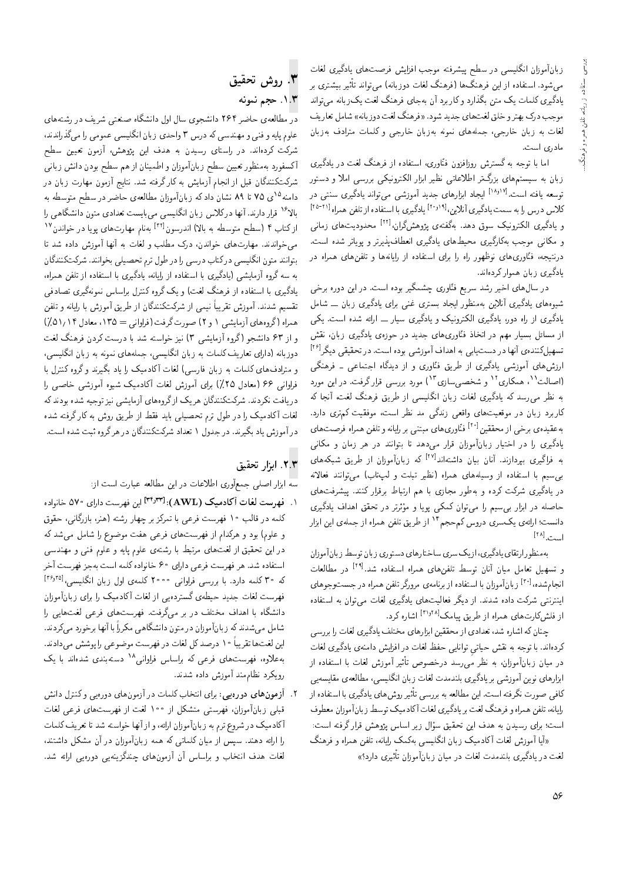زبانآموزان انگلیسی در سطح پیشرفته موجب افزایش فرصت های یادگیری لغات میشود. استفاده از این فرهنگ۱ها (فرهنگ لغات دوزبانه) میتواند تأثیر بیشتری بر یادگیری کلمات یک متن بگذارد وکاربرد آن بهجای فرهنگ لغت یک زبانه میتواند موجب درک بهترو خلق لغت۱های جدید شود. «فرهنگ لغت دوزبانه» شامل تعاریف لغات به زبان خارجی، جملههای نمونه بهزبان خارجی و کلمات مترادف بهزبان مادري است.

اما با توجه به گسترش روزافزون فنّاوری، استفاده از فرهنگ لغت در یادگیری زبان به سیستمهای بزرگ تر اطلاعاتی نظیر ابزار الکترونیکی بررسی املا و دستور توسعه یافته است.<sup>[۱۸٫۱۷]</sup> ایجاد ابزارهای جدید آموزش<sub>ی</sub> می;تواند یادگیری سنت<sub>ی</sub> در کلاس درس را به سمت یادگیری آنلاین، ۲۰٬۰۱<sup>۱</sup> یادگیری با استفاده از تلفن همراه<sup>[۲۱-۲۵</sup>] و یادگیری الکترونیک سوق دهد. بهگفتهی پژوهشگران،<sup>[۲۲]</sup> محدودیتهای زمان<sub>ی</sub> و مکانی موجب بهکارگیری محیطهای یادگیری انعطافپذیرتر و پویاتر شده است. درنتیجه، فنّاوری،های نوظهور راه را برای استفاده از رایانهها و تلفن،های همراه در یادگیری زبان هموارکردهاند.

در سال های اخیر رشد سریع فنّاوری چشمگیر بوده است. در این دوره برخی شیوههای یادگیری آنلاین بهمنظور ایجاد بستری غنبی برای یادگیری زبان ـــ شامل یادگیری از راه دور، یادگیری الکترونیک و یادگیری سیار \_\_ ارائه شده است. یکی از مسائل بسیار مهم در اتخاذ فتّاوریهای جدید در حوزهی یادگیری زبان، نقش تسهیلکنندهی آنها در دستیابی به اهداف آموزشی بوده است. در تحقیقی دیگر<sup>[۲۶]</sup> ارزشهای آموزشی یادگیری از طریق فنّاوری و از دیدگاه اجتماعی ـ فرهنگی (اصالت<sup>۱۱</sup>، همکاری<sup>۱۲</sup> و شخصی سازی ۱<sup>۲</sup>) مورد بررسی قرار گرفت. در این مورد به نظر می رسد که یادگیری لغات زبان انگلیسی از طریق فرهنگ لغت، آنجا که کاربرد زبان در موقعیتهای واقعی زندگی مد نظر است، موفقیت کم,تری دارد. به عقیده ی برخی از محققین<sup>[۲۰]</sup> فنّاوری های مبتنی بر رایانه و تلفن همراه فرصت های یادگیری را در اختیار زبانآموزان قرار میدهد تا بتوانند در هر زمان و مکانی به فراگیری بپردازند. آنان بیان داشتهاند<sup>[۲۷]</sup> که زبانآموزان از طریق شبکههای بر سیم با استفاده از وسیلههای همراه (نظیر تبلت و لپتاب) می توانند فعالانه در یادگیری شرکت کرده و بهطور مجازی با هم ارتباط برقرار کنند. پیشرفتهای حاصله در ابزار بی سیم را می توان کمکی پویا و مؤثرتر در تحقق اهداف یادگیری دانست؛ ارائهي يکسري دروس کم حجم<sup>۱۴</sup> از طريق تلفن همراه از جملهي اين ابزار  $[11]$ 

بهمنظورارتقاى يادگيري، ازيك سرى ساختارهاي دستوري زبان توسط زبان آموزان و تسهیل تعامل میان آنان توسط تلفنهای همراه استفاده شد.<sup>[۲۹]</sup> در مطالعات انجامشده، <sup>[۲۰]</sup> زبانآموزان با استفاده از برنامهی مرورگر تلفن همراه در جستوجوهای اینترنتی شرکت داده شدند. از دیگر فعالیتهای یادگیری لغات می توان به استفاده از فلش کارتهای همراه از طریق پیامک<sup>[۲۱٫۲۸]</sup> اشاره کرد.

حنان که اشاره شد، تعدادی از محققین ابزارهای مختلف پادگیری لغات را بررسی کردهاند. با توجه به نقش حیاتی توانایی حفظ لغات در افزایش دامنهی یادگیری لغات در میان زبانآموزان، به نظر می $\omega$ سد درخصوص تأثیر آموزش لغات با استفاده از ابزارهای نوین آموزشی بر یادگیری بلندمدت لغات زبان انگلیسی، مطالعهی مقایسه پی کافی صورت نگرفته است. این مطالعه به بررسی تأثیر روش های یادگیری با استفاده از رايانه، تلفن همراه و فرهنگ لغت بر يادگيري لغات أكادميك توسط زبان آموزان معطوف است؛ برای رسیدن به هدف این تحقیق سؤال زیر اساس پژوهش قرار گرفته است:

«أيا آموزش لغات أكادميك زبان انگليسي بهكمك رايانه، تلفن همراه و فرهنگ لغت در یادگیری بلندمدت لغات در میان زبانآموزان تأثیری دارد؟»

# ٣. روش تحقيق ٠١.٣ حجم نمونه

در مطالعه، حاضر ۲۶۴ دانشجوی سال اول دانشگاه صنعتی شریف در رشتههای علوم پایه و فنبي و مهندسي كه درس ۳ واحدي زبان انگلیسي عمومي را مي گذراندند، شرکت کردهاند. در راستای رسیدن به هدف این پژوهش، آزمون تعیین سطح أكسفورد بهمنظور تعيين سطح زبانأموزان واطمينان از هم سطح بودن دانش زبانبي شرکتکنندگان قبل از انجام آزمایش به کارگرفته شد. نتایج آزمون مهارت زبان در دامنه<sup>۱۵</sup>ی ۷۵ تا ۸۹ نشان داد که زبانآموزان مطالعهی حاضر در سطح متوسطه به بالا<sup>۱۶</sup> قرار دارند. آنها درکلاس زبان انگلیسی می بایست تعدادی متون دانشگاهی را ازکتاب ۴ (سطح متوسطه به بالا) اندرسون<sup>[۲۲]</sup> بهنام مهارتهای پویا در خواندن<sup>۱۷</sup> می خواندند. مهارتهای خواندن، درک مطلب و لغات به آنها آموزش داده شد تا بتوانند متون انگلیسی درکتاب درسی را در طول ترم تحصیلی بخوانند. شرکتکنندگان به سه گروه آزمایشی (یادگیری با استفاده از رایانه، یادگیری با استفاده از تلفن همراه، یادگیری با استفاده از فرهنگ لغت) و یک گروه کنترل براساس نمونهگیری تصادفی تقسیم شدند. آموزش تقریباً نیمی از شرکتکنندگان از طریق آموزش با رایانه و تلفن همراه (گروههای آزمایشی ۱ و ۲) صورت گرفت (فراوانی = ۱۳۵، معادل ۱/۱۴٪) و از ۶۳ دانشجو (گروه آزمایشی ۳) نیز خواسته شد با درست کردن فرهنگ لغت دوزبانه (دارای تعاریف کلمات به زبان انگلیسی، جملههای نمونه به زبان انگلیسی، و مترادفهای کلمات به زبان فارسی) لغات آکادمیک را یاد بگیرند و گروه کنترل با .<br>فراوانی ۶۶ (معادل ۲۵٪) برای آموزش لغات آکادمیک شیوه آموزشی خاصبی را دریافت نکردند. شرکتکنندگان هریک از گروههای آزمایشی نیز توجیه شده بودند که لغات آکادمیک را در طول ترم تحصیلهی باید فقط از طریق روش به کار گرفته شده در آموزش یاد بگیرند. در جدول ۱ تعداد شرکتکنندگان در هر گروه ثبت شده است.

#### ٢.٣. ابزار تحقيق

سه ابزار اصلی جمعأوری اطلاعات در این مطالعه عبارت است از:

- ۰. فهرست لغات آکادمیک (AWL): ۲۴٫۳۳] این فهرست دارای ۵۷۰ خانواده کلمه در قالب ۱۰ فهرست فرعی با تمرکز بر چهار رشته (هنر، بازرگانی، حقوق و علوم) بود و هرکدام از فهرستهای فرعی هفت موضوع را شامل می شد که در این تحقیق از لغتهای مرتبط با رشتهی علوم پایه و علوم فنی و مهندسی استفاده شد. هر فهرست فرعبي داراي ۶۰ خانواده كلمه است بهجز فهرست آخر که ۳۰ کلمه دارد. با بررسی فراوانی ° ۲۰۰ کلمهی اول زبان انگلیسی،<sup>[۳۶٫۳۵</sup>] فهرست لغات جدید حیطهی گستردهیی از لغات آکادمیک را برای زبانآموزان دانشگاه با اهداف مختلف در بر میگرفت. فهرستهای فرعی لغتهایی را شامل می شدند که زبانآموزان در متون دانشگاهی مکرراً با آنها برخورد می کردند. این لغتها تقریباً ۱۰ درصدکل لغات در فهرست موضوعی را پوشش میدادند. به علاوه، فهرست های فرعی که براساس فراوانی<sup>۱۸</sup> دستهبندی شدهاند با یک رويكرد نظام مند أموزش داده شدند.
- ۲. آزمون های دورهیی: برای انتخاب کلمات در آزمون های دورهیی و کنترل دانش قبلی زبانآموزان، فهرستی متشکل از ۱۰۰ لغت از فهرستهای فرعی لغات آکادمیک در شروع ترم به زبانآموزان ارائه، و از آنها خواسته شد تا تعریف کلمات را ارائه دهند. سپس از میان کلماتی که همه زبانآموزان در آن مشکل داشتند، لغات هدف انتخاب و براساس آن آزمونهای چندگزینهیی دورهیی ارائه شد.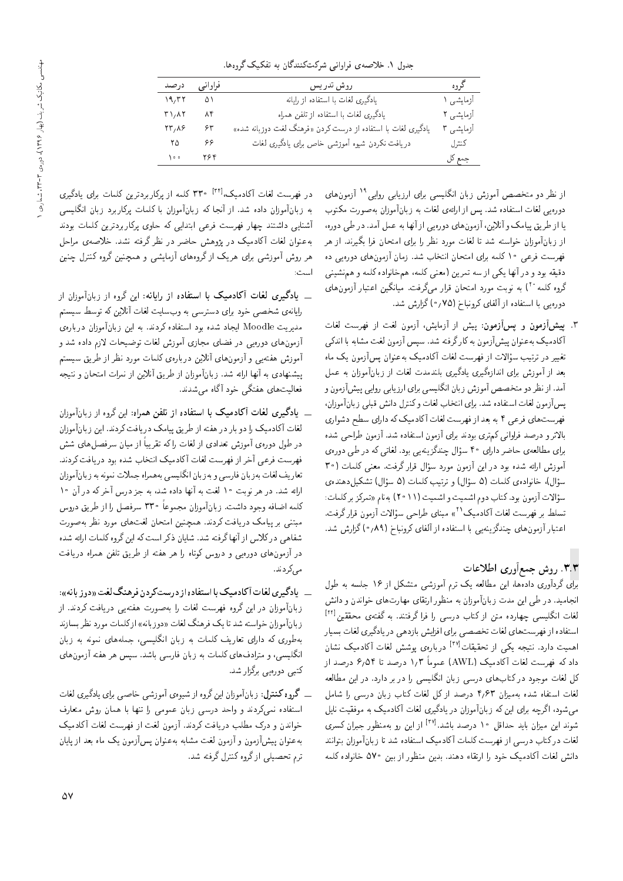|  |  |  | جدول ۱. خلاصه ی فراوانی شرکتکنندگان به تفکیک گروهها. |  |  |  |
|--|--|--|------------------------------------------------------|--|--|--|
|--|--|--|------------------------------------------------------|--|--|--|

| درصد                                              | فراوانبي           | روش تدريس                                                    | گروه      |
|---------------------------------------------------|--------------------|--------------------------------------------------------------|-----------|
| 19,77                                             | $\Delta \setminus$ | یادگیری لغات با استفاده از رایانه                            | آزمایشی ۱ |
| $T \setminus A$                                   | ۸۴                 | یادگیری لغات با استفاده از تلفن همراه                        | آزمایشی ۲ |
| $\mathbf{Y} \mathbf{Y}$ , $\mathbf{X} \mathbf{S}$ | ۶۳                 | یادگیری لغات با استفاده از درست کردن «فرهنگ لغت دوزبانه شده» | آزمایشی ۳ |
| $\mathsf{r}\,\mathsf{o}$                          | ۶۶                 | دریافت نکردن شیوه آموزشی خاص برای یادگیری لغات               | كنترل     |
| 100                                               | Y5F                |                                                              | جمع کل    |

از نظر دو متخصص آموزش زبان انگلیسی برای ارزیابی روایی<sup>۱۹</sup> آزمون های دوره یی لغات استفاده شد. پس از ارائهی لغات به زبانآموزان به صورت مکتوب یا از طریق پیامک و آنلاین، آزمونهای دورویی از آنها به عمل آمد. در طی دوره، از زبانآموزان خواسته شد تا لغات مورد نظر را برای امتحان فرا بگیرند. از هر فهرست فرعی ۱۰ کلمه برای امتحان انتخاب شد. زمان آزمون های دورهیی ده دقیقه بود و در آنها یکهی از سه تمرین (معنی کلمه، همخانواده کلمه و همنشینی گروه کلمه ° ٌ ) به نوبت مورد امتحان قرار میگرفت. میانگین اعتبار آزمون های دوره یی با استفاده از آلفای کرونباخ (۷۵؍۰) گزارش شد.

۳. پیش آزمون و پس آزمون: پیش از آزمایش، آزمون لغت از فهرست لغات .<br>آکادمیک به عنوان پیشآزمون به کارگرفته شد. سپس آزمون لغت مشابه با اندک<sub>ی</sub> تغییر در ترتیب سؤالات از فهرست لغات آکادمیک به عنوان پسآزمون یک ماه بعد از آموزش برای اندازهگیری یادگیری بلندمدت لغات از زبانآموزان به عمل آمد. از نظر دو متخصص آموزش زبان انگلیسی برای ارزیابی روایی پیشآزمون و پس آزمون لغات استفاده شد. براي انتخاب لغات وكنترل دانش قبلبي زبان آموزان، فهرست های فرعی ۴ به بعد از فهرست لغات آکادمیک که دارای سطح دشواری بالاترو درصد فراوانبي كم ترى بودند براى آزمون استفاده شد. آزمون طراحي شده برای مطالعهی حاضر دارای ۴۰ سؤال چندگزینهیی بود. لغاتی که در طی دورهی آموزش ارائه شده بود در این آزمون مورد سؤال قرارگرفت. معنی کلمات (۳۰ سؤال)، خانوادەی کلمات (۵ سؤال) و ترتیب کلمات (۵ سؤال) تشکیلدهندەی سؤالات آزمون بود. كتاب دوم اشميت و اشميت (٢٠١١) به نام «تمركز بركلمات: تسلط بر فهرست لغات آكادميك `` ، مبناى طراحى سؤالات آزمون قرارگرفت. اعتبار آزمونهای چندگزینهیی با استفاده از آلفای کرونباخ (۰٫۸۹) گزارش شد.

### ۳.۳. روش جمعآوری اطلاعات

برای گردآوری دادهها، این مطالعه یک ترم آموزشی متشکل از ۱۶ جلسه به طول انجامید. در طی این مدت زبانآموزان به منظور ارتقای مهارتهای خواندن و دانش لغات انگلیسی چهارده متن از کتاب درسی را فرا گرفتند. به گفتهی محققین<sup>[۲۲]</sup> استفاده از فهرست های لغات تخصصی برای افزایش بازدهی در یادگیری لغات بسیار اهمیت دارد. نتیجه یکی از تحقیقات<sup>[۳۷]</sup> دربارهی بوشش لغات آکادمیک نشان داد که فهرست لغات آکادمیک (AWL) عموماً ۱٫۳ درصد تا ۶٫۵۴ درصد از کل لغات موجود در کتابهای درسی زبان انگلیسی را در بر دارد. در این مطالعه لغات استفاه شده بهمیزان ۴٫۶۳ درصد از کل لغات کتاب زبان درسی را شامل مهمشود، اگرچه برای این که زبانآموزان در یادگیری لغات آکادمیک به موفقیت نایل شوند این میزان باید حداقل ۱۰ درصد باشد.<sup>[۳۷]</sup> از این رو بهمنظور جبران کسری لغات دركتاب درسى از فهرست كلمات آكادميك استفاده شد تا زبانآموزان بتوانند دانش لغات آکادمیک خود را ارتقاء دهند. بدین منظور از بین ۵۷۰ خانواده کلمه

در فهرست لغات آکادمیک<sup>,</sup> ۳۳۰ <sup>[۳۴]</sup> کلمه از پرکاربردترین کلمات برای یادگیری به زبانآموزان داده شد. از آنجا که زبانآموزان با کلمات پرکاربرد زبان انگلیسی أشنايي داشتند چهار فهرست فرعى ابتدايي كه حاوى يركاربردترين كلمات بودند بهعنوان لغات آکادمیک در پژوهش حاضر در نظر گرفته نشد. خلاصهی مراحل هر روش آموزشی برای هریک از گروههای آزمایشی و همچنین گروه کنترل چنین است:

- \_\_ یادگیری لغات آکادمیک با استفاده از رایانه: این گروه از زبانآموزان از .<br>رایانه ی شخصی خود برای دسترسی به وبسایت لغات آنلاین که توسط سیستم مدیریت Moodle ایجاد شده بود استفاده کردند. به این زبانآموزان دربارهی آزمونهای دورهیی در فضای مجازی آموزش لغات توضیحات لازم داده شد و آموزش هفتهیم و آزمونهای آنلاین دربارهی کلمات مورد نظر از طریق سیستم پیشنهادی به آنها ارائه شد. زبانآموزان از طریق آنلاین از نمرات امتحان و نتیجه فعالیتهای هفتگی خود آگاه می شدند.
- \_\_ یادگیری لغات آکادمیک با استفاده از تلفن همراه: این گروه از زبانآموزان لغات آکادمیک را دو بار در هفته از طریق پیامک دریافت کردند. این زبانآموزان در طول دورهى آموزش تعدادى از لغات را كه تقريباً از ميان سرفصل هاى شش فهرست فرعى أخراز فهرست لغات أكادميك انتخاب شده بود دريافت كردند. تعاریف لغات به زبان فارسی و به زبان انگلیسی به همراه جملات نمونه به زبانآموزان ارائه شد. در هر نوبت ۱۰ لغت به آنها داده شد، به جز درس آخرکه در آن ۱۰ كلمه اضافه وجود داشت. زبانآموزان مجموعاً ٣٣٠ سرفصل را از طريق دروس مبتنی بر پیامک دریافت کردند. همچنین امتحان لغتهای مورد نظر بهصورت شفاهی در کلاس از آنها گرفته شد. شایان ذکر است که این گروه کلمات ارائه شده در آزمونهای دورهیی و دروس کوتاه را هر هفته از طریق تلفن همراه دریافت مے کردند.
- \_\_ پادگیری لغات آکادمیک با استفاده از درستکردن فرهنگ لغت «دوز بانه»: زبانآموزان در این گروه فهرست لغات را بهصورت هفتهیی دریافت کردند. از زبانآموزان خواسته شد تا یک فرهنگ لغات «دوزبانه» ازکلمات مورد نظر بسازند بهطوری که دارای تعاریف کلمات به زبان انگلیسی، جملههای نمونه به زبان انگلیسی، و مترادفهای کلمات به زبان فارسی باشد. سپس هر هفته آزمونهای کتبی دورهیی برگزار شد.
- ۔ گروہ کنترل: زبانآموزان این گروہ از شیوہی آموزشی خاصبی برای پادگیری لغات استفاده نمى،كردند و واحد درسى زبان عمومى را تنها با همان روش متعارف خواندن و درک مطلب دریافت کردند. آزمون لغت از فهرست لغات آکادمیک به عنوان پیشآزمون و آزمون لغت مشابه به عنوان پسآزمون یک ماه بعد از پایان ترم تحصیلی از گروه کنترل گرفته شد.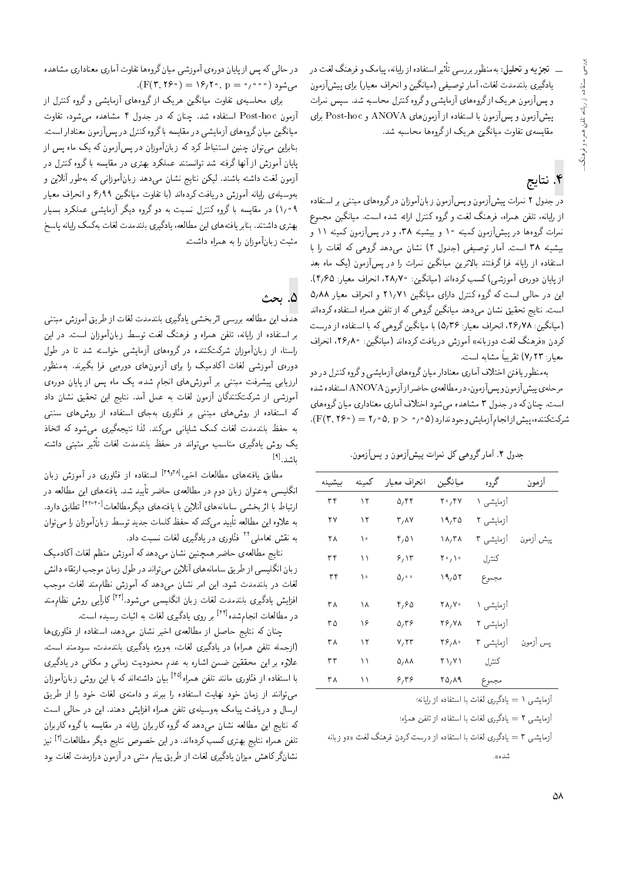ـــ تجزیه و تحلیل: بهمنظور بررسی تأثیراستفاده از رایانه، پیامک و فرهنگ لغت در يادگيري بلندمدت لغات، آمار توصيفي (ميانگين و انحراف معيار) براي پيشآزمون و پس آزمون هریک از گروههای آزمایشی و گروه کنترل محاسبه شد. سپس نمرات پیشآزمون و پسآزمون با استفاده از آزمون های ANOVA و Post-hoc برای مقايسه، تفاوت ميانگين هريک ازگروهها محاسبه شد.

## ۴. نتايج

در جدول ۲ نمرات پیشآزمون و پسآزمون زبانآموزان درگروههای مبتنبی بر استفاده از رایانه، تلفن همراه، فرهنگ لغت و گروه کنترل ارائه شده است. میانگین مجموع نمرات گروهها در پیشآزمون کمینه ۱۰ و بیشینه ۳۸، و در پسآزمون کمینه ۱۱ و بیشینه ۳۸ است. آمار توصیفی (جدول ۲) نشان می دهد گروهی که لغات را با استفاده از رایانه فرا گرفتند بالاترین میانگین نمرات را در پسآزمون (یک ماه بعد از پایان دورهی آموزشی)کسب کردهاند (میانگین: ۲۸٫۷۰، انحراف معیار: ۴٫۶۵). این در حالی است که گروه کنترل دارای میانگین ۲۱٫۷۱ و انحراف معیار ۵٫۸۸ است. نتایج تحقیق نشان میدهد میانگین گروهی که از تلفن همراه استفاده کردهاند (میانگین: ۲۶٫۷۸، انحراف معیار: ۵٫۳۶) با میانگین گروهی که با استفاده از درست کردن «فرهنگ لغت دوزبانه» آموزش دریافت کردهاند (میانگین: ۲۶٫۸۰، انحراف معيار: ٧/٢٣) تقريباً مشابه است.

بهمنظور یافتن اختلاف آماری معنادار میان گروههای آزمایشبی و گروه کنترل در دو مرحله ی پیش آزمون و پس آزمون، در مطالعه ی حاضر از آزمون ANOVA استفاده شده است. چنان که در جدول ۳ مشاهده میشود اختلاف آماری معناداری میان گروههای شرکت کننده، پیش از انجام آزمایش وجود ندارد (۵ ° / ° < F(۳, ۲۶ ).

جدول ۲. آمارگروهی کل نمرات پیشآزمون و پسآزمون.

| بيشيئه | كممينه | انحراف معيار               | ميانگين        | گروه      | آزمون     |
|--------|--------|----------------------------|----------------|-----------|-----------|
| ۳۴     | ۱۲     | ۵٬۴۴                       | ۲۰٬۴۷          | آزمایشی ۱ |           |
| ٢٧     | ۱۲     | ۳٫۸۷                       | ۱۹٫۳۵          | آزمایشی ۲ |           |
| ۲۸     | ه ۱    | ۴٫۵۱                       | $\lambda/\tau$ | آزمایشی ۳ | پيش آزمون |
| ۳۴     | ۱۱     | ۶٬۱۳                       | ۲۰٫۱۰          | كنترل     |           |
| ۳۴     | ه ۱    | $\Delta$ , $\circ$ $\circ$ | ۱۹,۵۲          | مجموع     |           |
|        |        |                            |                |           |           |
| ۳۸     | ۱۸     | ۴٬۶۵                       | ۲۸,۷۰          | آزمایشی ۱ |           |
| ۳۵     | ۱۶     | $\Delta/\Gamma$ ۶          | 28, Y A        | آزمایشی ۲ |           |
| ۳۸     | ۱۲     | ۷,۲۳                       | ۲۶٫۸۰          | آزمایشی ۳ | يس أزمون  |
| ٣٣     | ۱۱     | ۵٬۸۸                       | ۲۱٫۷۱          | كنترل     |           |
| ۳۸     | ۱۱     | ۶٬۳۶                       | 20, 19         | مجموع     |           |
|        |        |                            |                |           |           |

آزمایشی ۱ = یادگیری لغات با استفاده از رایانه؛

آزمایشی ۲ = یادگیری لغات با استفاده از تلفن همراه؛

آزمایشی ۳ = یادگیری لغات با استفاده از درست کردن فرهنگ لغت «دو زبانه  $a + 1.5$ 

در حالی که پس از پایان دورهی آموزشی میان گروهها تفاوت آماری معناداری مشاهده  $F(\mathbf{r}, \mathbf{r} \circ \cdot) = \mathbf{r} \circ \mathbf{r} \circ \mathbf{r}, \ \mathbf{p} = \mathbf{r} \circ \mathbf{r} \circ \mathbf{r} \circ \mathbf{r}$ می شود

برای محاسبه،ی تفاوت میانگین هریک از گروههای آزمایشی و گروه کنترل از آزمون Post-hoc استفاده شد. چنان که در جدول ۴ مشاهده میشود، تفاوت میانگین میان گروههای آزمایشی در مقایسه باگروه کنترل در پسآزمون معنادار است. بنابراین می توان چنین استنباط کرد که زبانآموزان در پسآزمون که یک ماه پس از پایان آموزش از آنها گرفته شد توانستند عملکرد بهتری در مقایسه با گروه کنترل در .<br>آزمون لغت داشته باشند. لیکن نتایج نشان می0هد زبانآموزانی که بهطور آنلاین و بهوسیلهی رایانه آموزش دریافت کردهاند (با تفاوت میانگین ۶٫۹۹ و انحراف معیار ۹ °۱/۱ در مقایسه با گروه کنترل نسبت به دو گروه دیگر آزمایشی عملکرد بسیار بهتري داشتند. بنابر يافتههاي اين مطالعه، يادگيري بلندمدت لغات بهكمک رايانه ياسخ مثبت زبانآموزان را به همراه داشت.

#### ۵. ىجث

هدف این مطالعه بررسی اثربخشی پادگیری بلندمدت لغات از طریق آموزش مبتنبی بر استفاده از رایانه، تلفن همراه و فرهنگ لغت توسط زبانآموزان است. در این راستا، از زبانآموزان شرکتکننده در گروههای آزمایشی خواسته شد تا در طول دورهى آموزشى لغات أكادميك را براى أزمونهاى دورهيى فرا بگيرند. بهمنظور ارزیابی پیشرفت مبتنبی بر آموزشهای انجام شده، یک ماه پس از پایان دورهی آموزشی از شرکتکنندگان آزمون لغات به عمل آمد. نتایج این تحقیق نشان داد که استفاده از روشهای مبتنی بر فنّاوری بهجای استفاده از روشهای سنتی به حفظ بلندمدت لغات کمک شایانی میکند. لذا نتیجهگیری میشود که اتخاذ یک روش یادگیری مناسب میتواند در حفظ بلندمدت لغات تأثیر مثبتی داشته  $[1]$ 

مطابق یافتههای مطالعات اخیر،<sup>۲۹٫۳۸</sup> استفاده از فنّاوری در آموزش زبان انگلیسی به عنوان زبان دوم در مطالعه، حاضر تأیید شد. یافتههای این مطالعه در ارتباط با اثربخشی سامانههای آنلاین با یافتههای دیگرمطالعات<sup>[۲۲-۴۰</sup>] تطابق دارد. به علاوه این مطالعه تأیید میکند که حفظ کلمات جدید توسط زبانآموزان را می توان به نقش تعاملیٌ <sup>۲۲</sup> فنّاوری در یادگیری لغات نسبت داد.

نتایج مطالعهی حاضر همچنین نشان می,دهد که آموزش منظم لغات آکادمیک زبان انگلیسی از طریق سامانههای آنلاین می تواند در طول زمان موجب ارتقاء دانش لغات در بلندمدت شود. این امر نشان میدهد که آموزش نظام مند لغات موجب افزایش یادگیری بلندمدت لغات زبان انگلیسی میشود.<sup>[۴۲]</sup> کارأیی روش نظاممند در مطالعات انجامشده<sup>[۴۴]</sup> بر روی یادگیری لغات به اثبات رسیده است.

چنان که نتایج حاصل از مطالعهی اخیر نشان می،دهد، استفاده از فنّاوریها (ازجمله تلفن همراه) در یادگیری لغات، بهویژه یادگیری بلندمدت، سودمند است. علاوه بر این محققین ضمن اشاره به عدم محدودیت زمانی و مکانی در یادگیری با استفاده از فنّاوری مانند تلفن همراه<sup>[۴۵]</sup> بیان داشتهاند که با این روش زبانآموزان می توانند از زمان خود نهایت استفاده را ببرند و دامنهی لغات خود را از طریق ارسال و دریافت پیامک بهوسیلهی تلفن همراه افزایش دهند. این در حالمی است که نتایج این مطالعه نشان میدهد که گروه کاربران رایانه در مقایسه با گروه کاربران تلفن همراه نتايج بهترى كسب كردهاند. در اين خصوص نتايج ديگر مطالعات<sup>71</sup>ا نيز نشانگرکاهش میزان یادگیری لغات از طریق پیام متنبی در آزمون درازمدت لغات بود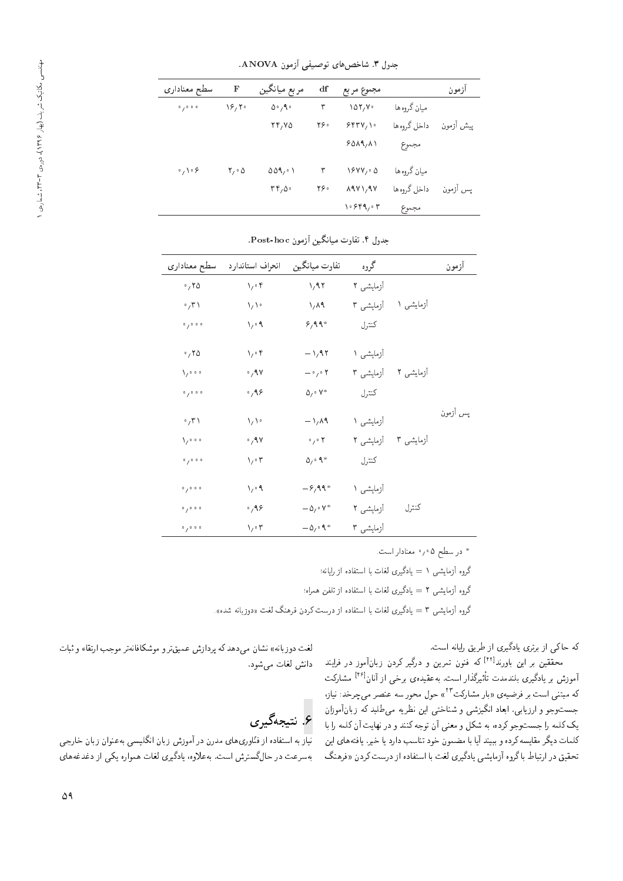| سطح معنادارى                        | F                | مربع ميانگين                         | df  | مجموع مربع                                          |             | ازمون     |
|-------------------------------------|------------------|--------------------------------------|-----|-----------------------------------------------------|-------------|-----------|
| 0/0.0.0                             | ۲۶٬۲۰            | 0.49                                 | ٣   | $\lambda$ $\Delta$ $\mathsf{Y}, \mathsf{V}$ $\cdot$ | ميان گروهها |           |
|                                     |                  | 77,70                                | ۲۶۰ | 555V,                                               | داخل گروهها | پیش أزمون |
|                                     |                  |                                      |     | 5019,11                                             | مجموع       |           |
| $\cdot$ , $\setminus \cdot$ $\circ$ | $Y \circ \Delta$ | 001,01                               | ٣   | 19YY, 0                                             | ميان گروهها |           |
|                                     |                  | $\mathsf{r}\mathsf{r}_1\mathsf{a}$ . | ۲۶۰ | $\lambda$ 9 $V$ $\lambda$ 9 $V$                     | داخل گروهها | يس أزمون  |
|                                     |                  |                                      |     | ۰۶۴۹٬۰۳                                             | مجموع       |           |
|                                     |                  |                                      |     |                                                     |             |           |

جدول ٣. شاخص هاى توصيفى آزمون ANOVA.

| سطح معنادارى           | انحراف استاندارد           | تفاوت ميانگين                                 | گروه      |           | أزمون    |
|------------------------|----------------------------|-----------------------------------------------|-----------|-----------|----------|
| .70                    | $\chi_j\circ \mathfrak{k}$ | $\lambda$ /97                                 | آزمایشی ۲ |           |          |
| $\cdot$ , $\uparrow$   | $\sqrt{\sqrt{2}}$          | $\lambda/\lambda$ ۹                           | آزمایشی ۳ | آزمایشی ۱ |          |
| 0/0.0.0                | $\sqrt{2}$                 | $8,99*$                                       | كنترل     |           |          |
| .70                    | $\sqrt{\cdot}$             | $-\frac{1}{4}$                                | آزمایشی ۱ |           |          |
| $\chi_{\ell}$          | $\cdot$ , 9 $\vee$         | $-\cdot$ , $\cdot$ ۲                          | آزمایشی ۳ | آزمایشی ۲ |          |
| 0/0.0.0                | 0,99                       | $\Delta_1 \cdot V^*$                          | كنترل     |           |          |
| $\cdot$ , $\mathsf{r}$ | $\sqrt{\sqrt{2}}$          | $-\frac{1}{4}$                                | آزمایشی ۱ |           | پس أزمون |
| $\lambda_{\ell}$       | $\cdot$ , 9 $\vee$         | $\circ$ / $\circ$ $\uparrow$                  | آزمایشی ۲ | آزمایشی ۳ |          |
| 0/0.0.0                | $\sqrt{\cdot 5}$           | $\Delta_1 \cdot \mathcal{A}^*$                | كنترل     |           |          |
| 0/0.0.0                | $\sqrt{2}$                 | $-\frac{9}{4}$                                | آزمایشی ۱ |           |          |
| 0/0.0.0                | 0,99                       | $-\Delta$ <sub>/</sub> $\cdot$ Y <sup>*</sup> | آزمایشی ۲ | كنترل     |          |
| 0/0.0.0                | $\sqrt{\cdot 5}$           | $-\Delta$ <sub>/</sub> $\circ$ $\uparrow$ *   | آزمایشی ۳ |           |          |

جدول ۴. تفاوت ميانگين أزمون Post-hoc.

\* در سطح ۰٫۰۵ معنادار است.

گروه آزمایشی ۱ = یادگیری لغات با استفاده از رایانه؛

گروه آزمایشی ۲ = یادگیری لغات با استفاده از تلفن همراه؛

گروه آزمایشی ۳ = یادگیری لغات با استفاده از درست کردن فرهنگ لغت «دوزبانه شده».

"CU= xv=}=Q j} Q] R= |Q}oO=} |QDQ@ R= |m =L xm [42] محققین بر این باورند<br>آموزش بر یادگیری بلندمدت تأثیرگذار است. بهعقیدهی برخی از آنان<sup>[۴۶]</sup> مشارکت<br>کمیستند است. بیردندار است. به عقیده ی برخی از آمان مستقرنت<br>مورد ۲۳۰۰ میلی 'R=}v %ONQJ|t QYvaxU QwLt pwL که مبتنی است بر فرضیهی «بار مشارکت ''<br>استان کوی در ایران ایک مستق جسب وجو و آرزیابی، ابعاد انگیزسی و سناحتی این نظریه می طلبد له زبان اموزان<br>جمع السیاسی يک کلمه را جستوجو کرده، به شکل و معنى أن توجه کنند و در نهايت أن کلمه را با كلمات ديگر مقايسه كرده و ببيند آيا با مضمون خود تناسب دارد يا خير. يافتههاى اين تحقیق در ارتباط باگروه آزمایشی یادگیری لغت با استفاده از درست کردن «فرهنگ

لغت دوزبانه» نشان می دهد که پردازش عمیق ترو موشکافانه تر موجب ارتقاء و ثبات دانش لغات مى شود.

و.<br>۶. نتیجهگیری

 $\frac{1}{\omega^2}$ تیار به استفاده از فنّاوری های مدرن در آموزش زبان انگلیسی به عنوان زبان خارجی بهسرعت در حال گسترش است. به علاوه، يادگيري لغات همواره يكي از دغدغههاي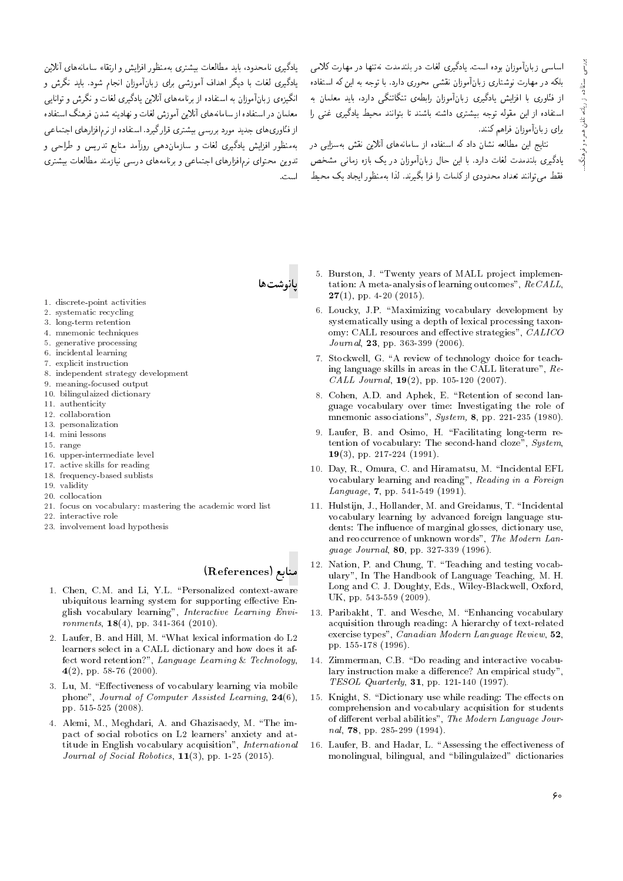اساسی زبانآموزان بوده است. یادگیری لغات در بلندمدت نهتنها در مهارت کلامی بلکه در مهارت نوشتاری زبانآموزان نقشی محوری دارد. با توجه به این که استفاده از فتّاوری با افزایش یادگیری زبانآموزان رابطهی تنگاتنگی دارد، باید معلمان به استفاده از این مقوله توجه بیشتری داشته باشند تا بتوانند محیط یادگیری غنبی را برای زبانآموزان فراهم کنند.

.<br>نتایج این مطالعه نشان داد که استفاده از سامانههای آنلاین نقش بهسزایی در یادگیری بلندمدت لغات دارد. با این حال زبانآموزان در یک بازه زمانی مشخص تدوین محتوای نرمافزارهای اجتماعی و برنامههای درسی نیازمند مطالعات بیشتری فقط می توانند تعداد محدودی از کلمات را فرا بگیرند. لذا بهمنظور ایجاد یک محیط است.

بادگیری نامحدود، باید مطالعات پیشتری بهمنظور افزایش و ارتقاء سامانههای آنلاین یادگیری لغات با دیگر اهداف آموزشی برای زبانآموزان انجام شود. باید نگرش و انگیزهی زبانآموزان به استفاده از برنامههای آنلاین یادگیری لغات و نگرش و توانایی معلمان در استفاده از سامانههای آنلاین آموزش لغات و نهادینه شدن فرهنگ استفاده از فنّاوری های جدید مورد بررسی بیشتری قرارگیرد. استفاده از نرم|فزارهای اجتماعی بهمنظور افزایش یادگیری لغات و سازماندهی روزآمد منابع تدریس و طراحی و

- 1. discrete-point activities
- 2. systematic recycling
- 3. long-term retention
- 4. mnemonic techniques
- 5. generative processing 6. incidental learning
- 7. explicit instruction
- 
- 8. independent strategy development
- 9. meaning-focused output 10. bilingulaized dictionary
- 11. authenticity
- 12. collaboration
- 13. personalization
- 14. mini lessons
- 15. range
- 16. upper-intermediate level
- 17. active skills for reading
- 18. frequency-based sublists
- 19. validity
- 20. collocation
- 21. focus on vocabulary: mastering the academic word list
- 22. interactive role
- 23. involvement load hypothesis

#### منابع (References)

- 1. Chen, C.M. and Li, Y.L. "Personalized context-aware ubiquitous learning system for supporting effective English vocabulary learning", Interactive Learning Envi- $\; {\it moments}, \; {\bf 18} (4), \; {\rm pp}. \; {\bf 341 \cdot 364} \; (2010).$
- 2. Laufer B and Hill M "What lexical information do L2 learners select in a CALL dictionary and how does it affect word retention?", Language Learning & Technology,  $4(2)$ , pp. 58-76 (2000).
- 3. Lu, M. "Effectiveness of vocabulary learning via mobile phone", Journal of Computer Assisted Learning, 24(6), pp. 515-525 (2008).
- 4. Alemi, M., Meghdari, A. and Ghazisaedy, M. "The impact of social robotics on L2 learners' anxiety and attitude in English vocabulary acquisition", International *Journal of Social Robotics*,  $11(3)$ , pp. 1-25 (2015).
- 5. Burston, J. "Twenty years of MALL project implementation: A meta-analysis of learning outcomes",  $ReCALL$ ,  $27(1)$ , pp. 4-20 (2015).
- 6. Loucky, J.P. "Maximizing vocabulary development by systematically using a depth of lexical processing taxonomy: CALL resources and effective strategies", CALICO Journal, 23, pp. 363-399 (2006).
- 7. Stockwell, G. "A review of technology choice for teaching language skills in areas in the CALL literature", Re-CALL Journal,  $19(2)$ , pp. 105-120 (2007).
- 8. Cohen, A.D. and Aphek, E. "Retention of second language vocabulary over time: Investigating the role of mnemonic associations", System, 8, pp. 221-235 (1980).
- 9. Laufer, B. and Osimo, H. "Facilitating long-term retention of vocabulary: The second-hand cloze", System, 19(3), pp. 217-224 (1991).
- 10. Day, R., Omura, C. and Hiramatsu, M. "Incidental EFL vocabulary learning and reading", Reading in a Foreign Language,  $7$ , pp. 541-549 (1991).
- 11. Hulstijn, J., Hollander, M. and Greidanus, T. "Incidental vocabulary learning by advanced foreign language students: The influence of marginal glosses, dictionary use, and reoccurrence of unknown words", The Modern Language Journal, 80, pp. 327-339 (1996).
- 12. Nation, P. and Chung, T. "Teaching and testing vocabulary", In The Handbook of Language Teaching, M. H. Long and C. J. Doughty, Eds., Wiley-Blackwell, Oxford, UK, pp. 543-559 (2009).
- 13. Paribakht, T. and Wesche, M. "Enhancing vocabulary acquisition through reading: A hierarchy of text-related exercise types", Canadian Modern Language Review, 52, pp. 155-178 (1996).
- 14. Zimmerman, C.B. "Do reading and interactive vocabulary instruction make a difference? An empirical study", TESOL Quarterly, 31, pp. 121-140 (1997).
- 15. Knight, S. "Dictionary use while reading: The effects on comprehension and vocabulary acquisition for students of different verbal abilities", The Modern Language Journal, 78, pp. 285-299 (1994).
- 16. Laufer, B. and Hadar, L. "Assessing the effectiveness of monolingual, bilingual, and "bilingulaized" dictionaries